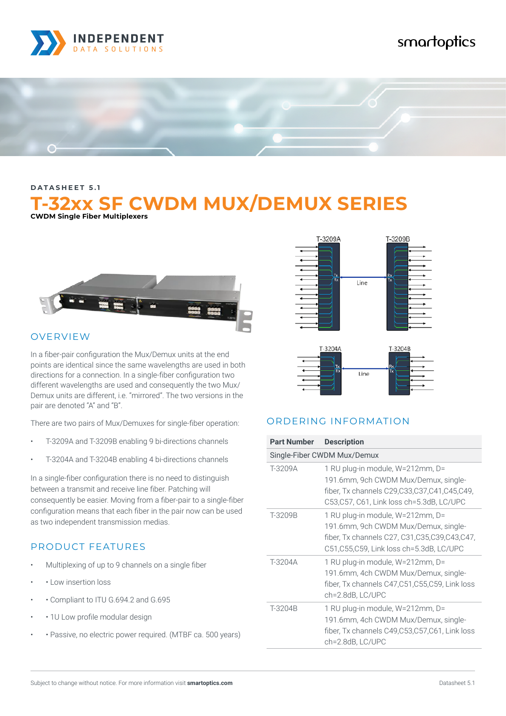

# smartoptics



**DATASHEET 5.1**

# **T-32xx SF CWDM MUX/DEMUX SERIES CWDM Single Fiber Multiplexers**



#### OVERVIEW

In a fiber-pair configuration the Mux/Demux units at the end points are identical since the same wavelengths are used in both directions for a connection. In a single-fiber configuration two different wavelengths are used and consequently the two Mux/ Demux units are different, i.e. "mirrored". The two versions in the pair are denoted "A" and "B".

There are two pairs of Mux/Demuxes for single-fiber operation:

- T-3209A and T-3209B enabling 9 bi-directions channels
- T-3204A and T-3204B enabling 4 bi-directions channels

In a single-fiber configuration there is no need to distinguish between a transmit and receive line fiber. Patching will consequently be easier. Moving from a fiber-pair to a single-fiber configuration means that each fiber in the pair now can be used as two independent transmission medias.

## PRODUCT FEATURES

- Multiplexing of up to 9 channels on a single fiber
- • Low insertion loss
- • Compliant to ITU G.694.2 and G.695
- • 10 Low profile modular design
- • Passive, no electric power required. (MTBF ca. 500 years)





#### ORDERING INFORMATION

| <b>Part Number</b> | <b>Description</b>                                                                                                                                                        |  |  |
|--------------------|---------------------------------------------------------------------------------------------------------------------------------------------------------------------------|--|--|
|                    | Single-Fiber CWDM Mux/Demux                                                                                                                                               |  |  |
| T-3209A            | 1 RU plug-in module, W=212mm, D=<br>191.6mm, 9ch CWDM Mux/Demux, single-<br>fiber, Tx channels C29, C33, C37, C41, C45, C49,<br>C53,C57, C61, Link loss ch=5.3dB, LC/UPC  |  |  |
| T-3209B            | 1 RU plug-in module, W=212mm, D=<br>191.6mm, 9ch CWDM Mux/Demux, single-<br>fiber, Tx channels C27, C31, C35, C39, C43, C47,<br>C51, C55, C59, Link loss ch=5.3dB, LC/UPC |  |  |
| T-3204A            | 1 RU plug-in module, W=212mm, D=<br>191.6mm, 4ch CWDM Mux/Demux, single-<br>fiber, Tx channels C47, C51, C55, C59, Link loss<br>ch=2.8dB, LC/UPC                          |  |  |
| T-3204B            | 1 RU plug-in module, W=212mm, D=<br>191.6mm, 4ch CWDM Mux/Demux, single-<br>fiber, Tx channels C49,C53,C57,C61, Link loss<br>ch=2.8dB, LC/UPC                             |  |  |